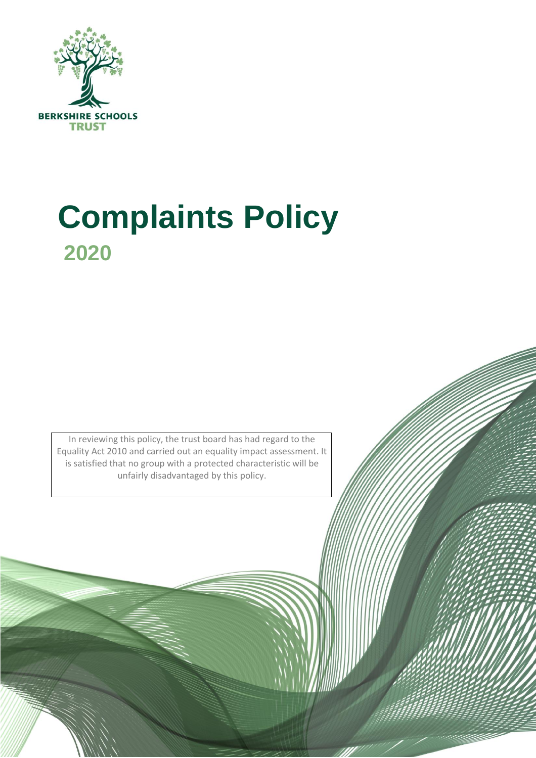

# **Complaints Policy 2020**

In reviewing this policy, the trust board has had regard to the Equality Act 2010 and carried out an equality impact assessment. It is satisfied that no group with a protected characteristic will be unfairly disadvantaged by this policy.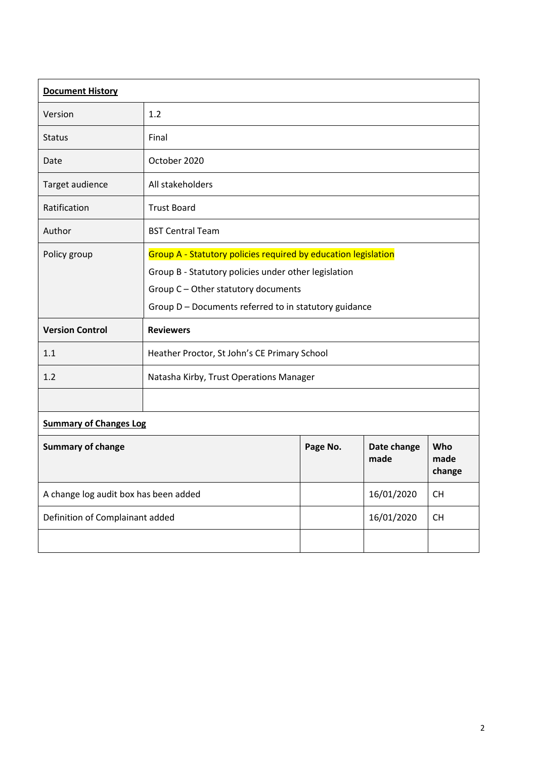| <b>Document History</b>               |                                                                |          |                     |                       |  |
|---------------------------------------|----------------------------------------------------------------|----------|---------------------|-----------------------|--|
| Version                               | 1.2                                                            |          |                     |                       |  |
| <b>Status</b>                         | Final                                                          |          |                     |                       |  |
| Date                                  | October 2020                                                   |          |                     |                       |  |
| Target audience                       | All stakeholders                                               |          |                     |                       |  |
| Ratification                          | <b>Trust Board</b>                                             |          |                     |                       |  |
| Author                                | <b>BST Central Team</b>                                        |          |                     |                       |  |
| Policy group                          | Group A - Statutory policies required by education legislation |          |                     |                       |  |
|                                       | Group B - Statutory policies under other legislation           |          |                     |                       |  |
|                                       | Group C - Other statutory documents                            |          |                     |                       |  |
|                                       | Group D - Documents referred to in statutory guidance          |          |                     |                       |  |
| <b>Version Control</b>                | <b>Reviewers</b>                                               |          |                     |                       |  |
| 1.1                                   | Heather Proctor, St John's CE Primary School                   |          |                     |                       |  |
| 1.2                                   | Natasha Kirby, Trust Operations Manager                        |          |                     |                       |  |
|                                       |                                                                |          |                     |                       |  |
| <b>Summary of Changes Log</b>         |                                                                |          |                     |                       |  |
| <b>Summary of change</b>              |                                                                | Page No. | Date change<br>made | Who<br>made<br>change |  |
| A change log audit box has been added |                                                                |          | 16/01/2020          | <b>CH</b>             |  |
| Definition of Complainant added       |                                                                |          | 16/01/2020          | <b>CH</b>             |  |
|                                       |                                                                |          |                     |                       |  |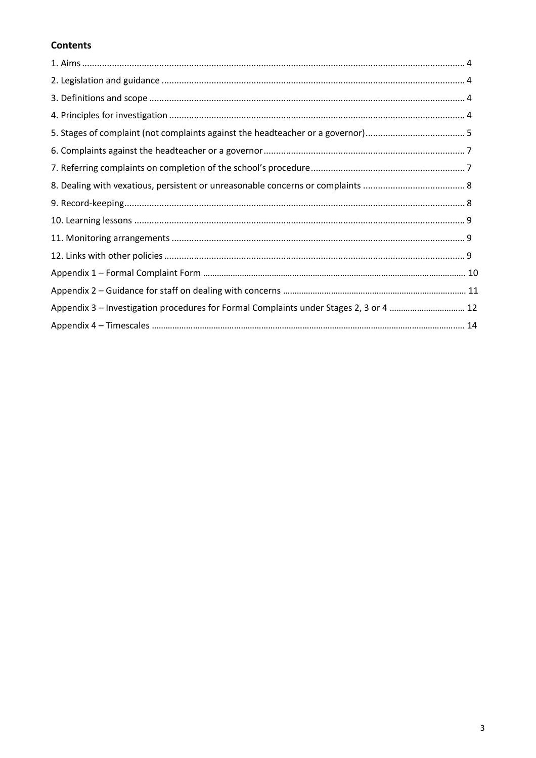# **Contents**

| Appendix 3 - Investigation procedures for Formal Complaints under Stages 2, 3 or 4  12 |  |
|----------------------------------------------------------------------------------------|--|
|                                                                                        |  |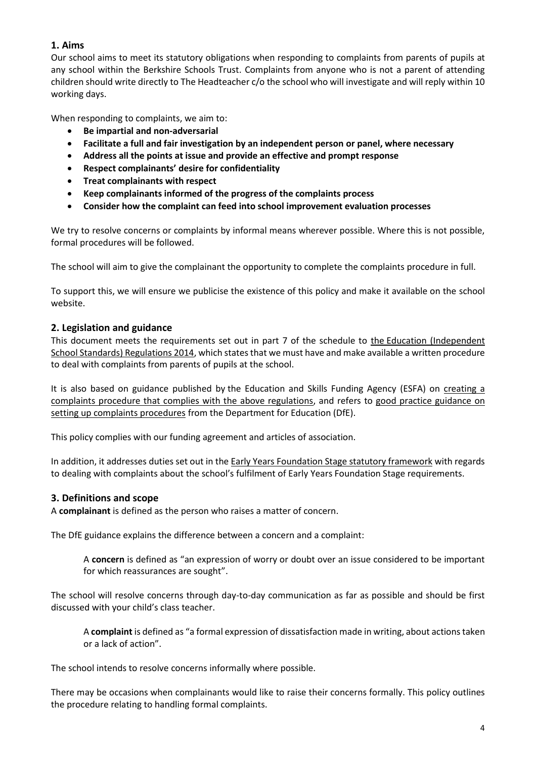# **1. Aims**

Our school aims to meet its statutory obligations when responding to complaints from parents of pupils at any school within the Berkshire Schools Trust. Complaints from anyone who is not a parent of attending children should write directly to The Headteacher c/o the school who will investigate and will reply within 10 working days.

When responding to complaints, we aim to:

- **Be impartial and non-adversarial**
- **Facilitate a full and fair investigation by an independent person or panel, where necessary**
- **Address all the points at issue and provide an effective and prompt response**
- **Respect complainants' desire for confidentiality**
- **Treat complainants with respect**
- **Keep complainants informed of the progress of the complaints process**
- **Consider how the complaint can feed into school improvement evaluation processes**

We try to resolve concerns or complaints by informal means wherever possible. Where this is not possible, formal procedures will be followed.

The school will aim to give the complainant the opportunity to complete the complaints procedure in full.

To support this, we will ensure we publicise the existence of this policy and make it available on the school website.

# **2. Legislation and guidance**

This document meets the requirements set out in part 7 of the schedule to the [Education \(Independent](http://www.legislation.gov.uk/uksi/2014/3283/schedule/made)  [School Standards\) Regulations 2014,](http://www.legislation.gov.uk/uksi/2014/3283/schedule/made) which states that we must have and make available a written procedure to deal with complaints from parents of pupils at the school.

It is also based on guidance published by the Education and Skills Funding Agency (ESFA) on creating a complaints [procedure that complies with the above regulations,](https://www.gov.uk/government/publications/setting-up-an-academies-complaints-procedure) and refers to [good practice guidance on](https://www.gov.uk/government/publications/school-complaints-procedures)  [setting up complaints procedures](https://www.gov.uk/government/publications/school-complaints-procedures) from the Department for Education (DfE).

This policy complies with our funding agreement and articles of association.

In addition, it addresses duties set out in the [Early Years Foundation Stage statutory framework](https://www.gov.uk/government/uploads/system/uploads/attachment_data/file/596629/EYFS_STATUTORY_FRAMEWORK_2017.pdf) with regards to dealing with complaints about the school's fulfilment of Early Years Foundation Stage requirements.

# **3. Definitions and scope**

A **complainant** is defined as the person who raises a matter of concern.

The DfE guidance explains the difference between a concern and a complaint:

A **concern** is defined as "an expression of worry or doubt over an issue considered to be important for which reassurances are sought".

The school will resolve concerns through day-to-day communication as far as possible and should be first discussed with your child's class teacher.

A **complaint** is defined as "a formal expression of dissatisfaction made in writing, about actions taken or a lack of action".

The school intends to resolve concerns informally where possible.

There may be occasions when complainants would like to raise their concerns formally. This policy outlines the procedure relating to handling formal complaints.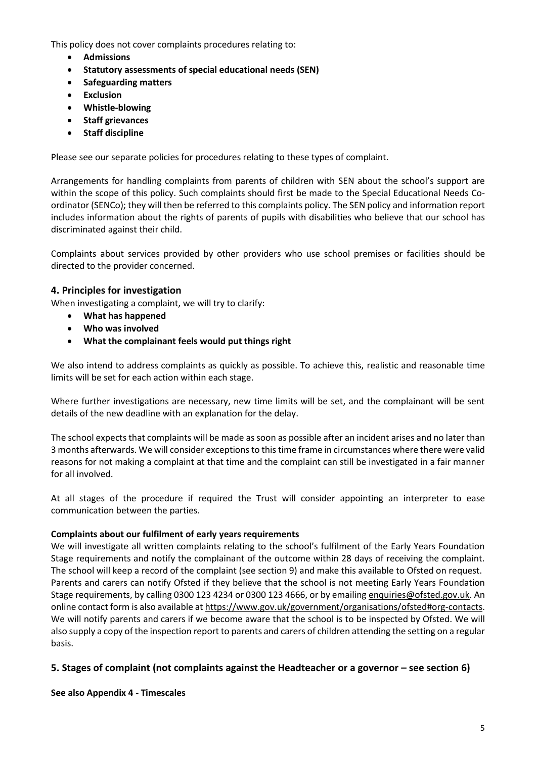This policy does not cover complaints procedures relating to:

- **Admissions**
- **Statutory assessments of special educational needs (SEN)**
- **Safeguarding matters**
- **Exclusion**
- **Whistle-blowing**
- **Staff grievances**
- **Staff discipline**

Please see our separate policies for procedures relating to these types of complaint.

Arrangements for handling complaints from parents of children with SEN about the school's support are within the scope of this policy. Such complaints should first be made to the Special Educational Needs Coordinator (SENCo); they will then be referred to this complaints policy. The SEN policy and information report includes information about the rights of parents of pupils with disabilities who believe that our school has discriminated against their child.

Complaints about services provided by other providers who use school premises or facilities should be directed to the provider concerned.

# **4. Principles for investigation**

When investigating a complaint, we will try to clarify:

- **What has happened**
- **Who was involved**
- **What the complainant feels would put things right**

We also intend to address complaints as quickly as possible. To achieve this, realistic and reasonable time limits will be set for each action within each stage.

Where further investigations are necessary, new time limits will be set, and the complainant will be sent details of the new deadline with an explanation for the delay.

The school expects that complaints will be made as soon as possible after an incident arises and no later than 3 months afterwards. We will consider exceptions to this time frame in circumstances where there were valid reasons for not making a complaint at that time and the complaint can still be investigated in a fair manner for all involved.

At all stages of the procedure if required the Trust will consider appointing an interpreter to ease communication between the parties.

# **Complaints about our fulfilment of early years requirements**

We will investigate all written complaints relating to the school's fulfilment of the Early Years Foundation Stage requirements and notify the complainant of the outcome within 28 days of receiving the complaint. The school will keep a record of the complaint (see section 9) and make this available to Ofsted on request. Parents and carers can notify Ofsted if they believe that the school is not meeting Early Years Foundation Stage requirements, by calling 0300 123 4234 or 0300 123 4666, or by emailing [enquiries@ofsted.gov.uk.](mailto:enquiries@ofsted.gov.uk) An online contact form is also available a[t https://www.gov.uk/government/organisations/ofsted#org-contacts.](https://www.gov.uk/government/organisations/ofsted#org-contacts) We will notify parents and carers if we become aware that the school is to be inspected by Ofsted. We will also supply a copy of the inspection report to parents and carers of children attending the setting on a regular basis.

# **5. Stages of complaint (not complaints against the Headteacher or a governor – see section 6)**

**See also Appendix 4 - Timescales**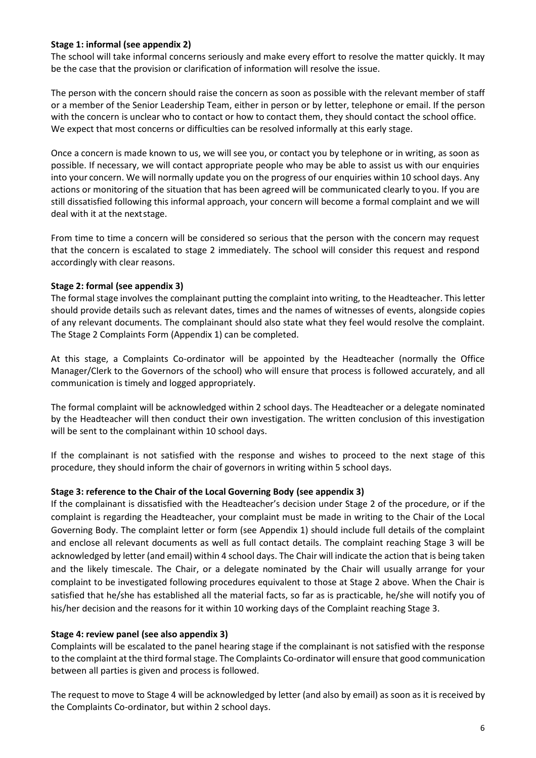#### **Stage 1: informal (see appendix 2)**

The school will take informal concerns seriously and make every effort to resolve the matter quickly. It may be the case that the provision or clarification of information will resolve the issue.

The person with the concern should raise the concern as soon as possible with the relevant member of staff or a member of the Senior Leadership Team, either in person or by letter, telephone or email. If the person with the concern is unclear who to contact or how to contact them, they should contact the school office. We expect that most concerns or difficulties can be resolved informally at this early stage.

Once a concern is made known to us, we will see you, or contact you by telephone or in writing, as soon as possible. If necessary, we will contact appropriate people who may be able to assist us with our enquiries into your concern. We will normally update you on the progress of our enquiries within 10 school days. Any actions or monitoring of the situation that has been agreed will be communicated clearly toyou. If you are still dissatisfied following this informal approach, your concern will become a formal complaint and we will deal with it at the nextstage.

From time to time a concern will be considered so serious that the person with the concern may request that the concern is escalated to stage 2 immediately. The school will consider this request and respond accordingly with clear reasons.

#### **Stage 2: formal (see appendix 3)**

The formal stage involves the complainant putting the complaint into writing, to the Headteacher. This letter should provide details such as relevant dates, times and the names of witnesses of events, alongside copies of any relevant documents. The complainant should also state what they feel would resolve the complaint. The Stage 2 Complaints Form (Appendix 1) can be completed.

At this stage, a Complaints Co-ordinator will be appointed by the Headteacher (normally the Office Manager/Clerk to the Governors of the school) who will ensure that process is followed accurately, and all communication is timely and logged appropriately.

The formal complaint will be acknowledged within 2 school days. The Headteacher or a delegate nominated by the Headteacher will then conduct their own investigation. The written conclusion of this investigation will be sent to the complainant within 10 school days.

If the complainant is not satisfied with the response and wishes to proceed to the next stage of this procedure, they should inform the chair of governors in writing within 5 school days.

#### **Stage 3: reference to the Chair of the Local Governing Body (see appendix 3)**

If the complainant is dissatisfied with the Headteacher's decision under Stage 2 of the procedure, or if the complaint is regarding the Headteacher, your complaint must be made in writing to the Chair of the Local Governing Body. The complaint letter or form (see Appendix 1) should include full details of the complaint and enclose all relevant documents as well as full contact details. The complaint reaching Stage 3 will be acknowledged by letter (and email) within 4 school days. The Chair will indicate the action that is being taken and the likely timescale. The Chair, or a delegate nominated by the Chair will usually arrange for your complaint to be investigated following procedures equivalent to those at Stage 2 above. When the Chair is satisfied that he/she has established all the material facts, so far as is practicable, he/she will notify you of his/her decision and the reasons for it within 10 working days of the Complaint reaching Stage 3.

#### **Stage 4: review panel (see also appendix 3)**

Complaints will be escalated to the panel hearing stage if the complainant is not satisfied with the response to the complaint at the third formal stage. The Complaints Co-ordinator will ensure that good communication between all parties is given and process is followed.

The request to move to Stage 4 will be acknowledged by letter (and also by email) as soon as it is received by the Complaints Co-ordinator, but within 2 school days.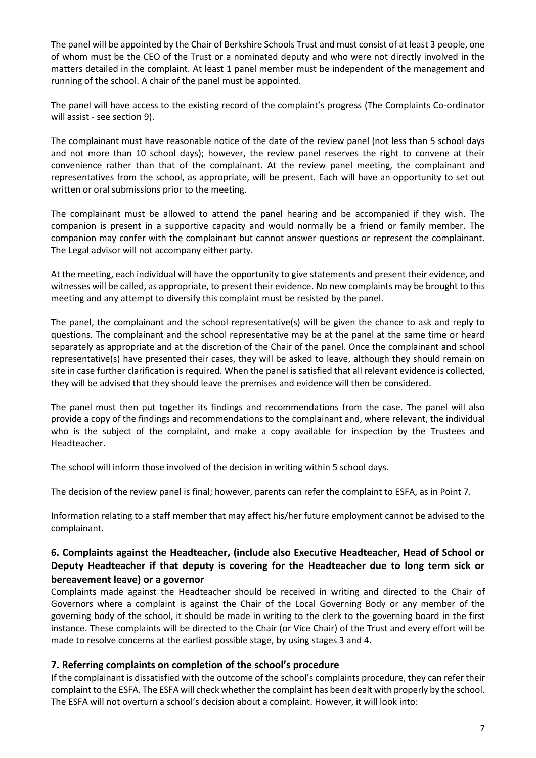The panel will be appointed by the Chair of Berkshire Schools Trust and must consist of at least 3 people, one of whom must be the CEO of the Trust or a nominated deputy and who were not directly involved in the matters detailed in the complaint. At least 1 panel member must be independent of the management and running of the school. A chair of the panel must be appointed.

The panel will have access to the existing record of the complaint's progress (The Complaints Co-ordinator will assist - see section 9).

The complainant must have reasonable notice of the date of the review panel (not less than 5 school days and not more than 10 school days); however, the review panel reserves the right to convene at their convenience rather than that of the complainant. At the review panel meeting, the complainant and representatives from the school, as appropriate, will be present. Each will have an opportunity to set out written or oral submissions prior to the meeting.

The complainant must be allowed to attend the panel hearing and be accompanied if they wish. The companion is present in a supportive capacity and would normally be a friend or family member. The companion may confer with the complainant but cannot answer questions or represent the complainant. The Legal advisor will not accompany either party.

At the meeting, each individual will have the opportunity to give statements and present their evidence, and witnesses will be called, as appropriate, to present their evidence. No new complaints may be brought to this meeting and any attempt to diversify this complaint must be resisted by the panel.

The panel, the complainant and the school representative(s) will be given the chance to ask and reply to questions. The complainant and the school representative may be at the panel at the same time or heard separately as appropriate and at the discretion of the Chair of the panel. Once the complainant and school representative(s) have presented their cases, they will be asked to leave, although they should remain on site in case further clarification is required. When the panel is satisfied that all relevant evidence is collected, they will be advised that they should leave the premises and evidence will then be considered.

The panel must then put together its findings and recommendations from the case. The panel will also provide a copy of the findings and recommendations to the complainant and, where relevant, the individual who is the subject of the complaint, and make a copy available for inspection by the Trustees and Headteacher.

The school will inform those involved of the decision in writing within 5 school days.

The decision of the review panel is final; however, parents can refer the complaint to ESFA, as in Point 7.

Information relating to a staff member that may affect his/her future employment cannot be advised to the complainant.

# **6. Complaints against the Headteacher, (include also Executive Headteacher, Head of School or Deputy Headteacher if that deputy is covering for the Headteacher due to long term sick or bereavement leave) or a governor**

Complaints made against the Headteacher should be received in writing and directed to the Chair of Governors where a complaint is against the Chair of the Local Governing Body or any member of the governing body of the school, it should be made in writing to the clerk to the governing board in the first instance. These complaints will be directed to the Chair (or Vice Chair) of the Trust and every effort will be made to resolve concerns at the earliest possible stage, by using stages 3 and 4.

# **7. Referring complaints on completion of the school's procedure**

If the complainant is dissatisfied with the outcome of the school's complaints procedure, they can refer their complaint to the ESFA. The ESFA will check whether the complaint has been dealt with properly by the school. The ESFA will not overturn a school's decision about a complaint. However, it will look into: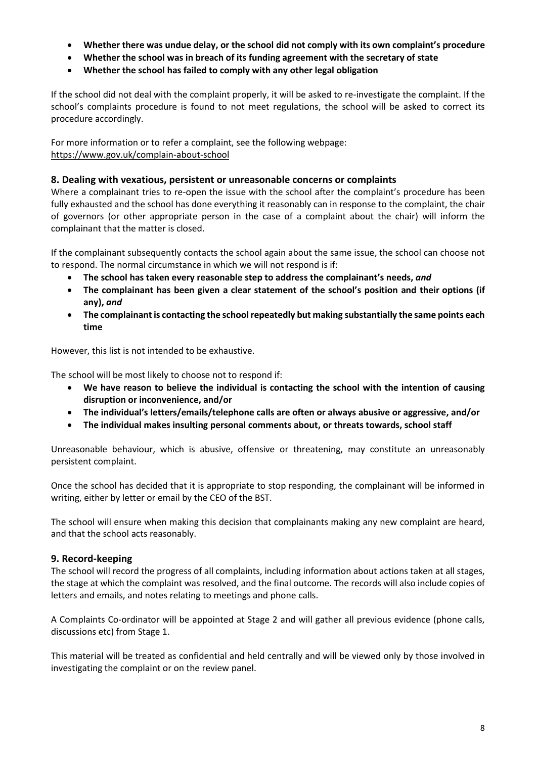- **Whether there was undue delay, or the school did not comply with its own complaint's procedure**
- **Whether the school was in breach of its funding agreement with the secretary of state**
- **Whether the school has failed to comply with any other legal obligation**

If the school did not deal with the complaint properly, it will be asked to re-investigate the complaint. If the school's complaints procedure is found to not meet regulations, the school will be asked to correct its procedure accordingly.

For more information or to refer a complaint, see the following webpage: <https://www.gov.uk/complain-about-school>

# **8. Dealing with vexatious, persistent or unreasonable concerns or complaints**

Where a complainant tries to re-open the issue with the school after the complaint's procedure has been fully exhausted and the school has done everything it reasonably can in response to the complaint, the chair of governors (or other appropriate person in the case of a complaint about the chair) will inform the complainant that the matter is closed.

If the complainant subsequently contacts the school again about the same issue, the school can choose not to respond. The normal circumstance in which we will not respond is if:

- **The school has taken every reasonable step to address the complainant's needs,** *and*
- **The complainant has been given a clear statement of the school's position and their options (if any),** *and*
- **The complainant is contacting the school repeatedly but making substantially the same points each time**

However, this list is not intended to be exhaustive.

The school will be most likely to choose not to respond if:

- **We have reason to believe the individual is contacting the school with the intention of causing disruption or inconvenience, and/or**
- **The individual's letters/emails/telephone calls are often or always abusive or aggressive, and/or**
- **The individual makes insulting personal comments about, or threats towards, school staff**

Unreasonable behaviour, which is abusive, offensive or threatening, may constitute an unreasonably persistent complaint.

Once the school has decided that it is appropriate to stop responding, the complainant will be informed in writing, either by letter or email by the CEO of the BST.

The school will ensure when making this decision that complainants making any new complaint are heard, and that the school acts reasonably.

# **9. Record-keeping**

The school will record the progress of all complaints, including information about actions taken at all stages, the stage at which the complaint was resolved, and the final outcome. The records will also include copies of letters and emails, and notes relating to meetings and phone calls.

A Complaints Co-ordinator will be appointed at Stage 2 and will gather all previous evidence (phone calls, discussions etc) from Stage 1.

This material will be treated as confidential and held centrally and will be viewed only by those involved in investigating the complaint or on the review panel.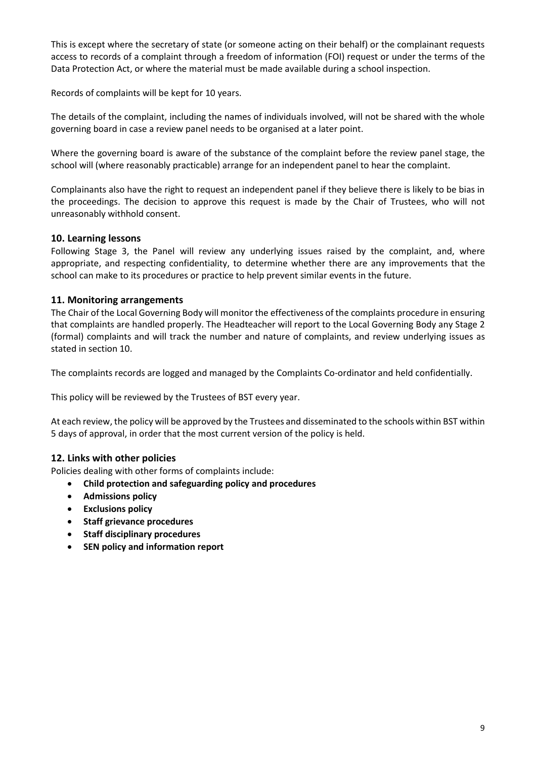This is except where the secretary of state (or someone acting on their behalf) or the complainant requests access to records of a complaint through a freedom of information (FOI) request or under the terms of the Data Protection Act, or where the material must be made available during a school inspection.

Records of complaints will be kept for 10 years.

The details of the complaint, including the names of individuals involved, will not be shared with the whole governing board in case a review panel needs to be organised at a later point.

Where the governing board is aware of the substance of the complaint before the review panel stage, the school will (where reasonably practicable) arrange for an independent panel to hear the complaint.

Complainants also have the right to request an independent panel if they believe there is likely to be bias in the proceedings. The decision to approve this request is made by the Chair of Trustees, who will not unreasonably withhold consent.

# **10. Learning lessons**

Following Stage 3, the Panel will review any underlying issues raised by the complaint, and, where appropriate, and respecting confidentiality, to determine whether there are any improvements that the school can make to its procedures or practice to help prevent similar events in the future.

# **11. Monitoring arrangements**

The Chair of the Local Governing Body will monitor the effectiveness of the complaints procedure in ensuring that complaints are handled properly. The Headteacher will report to the Local Governing Body any Stage 2 (formal) complaints and will track the number and nature of complaints, and review underlying issues as stated in section 10.

The complaints records are logged and managed by the Complaints Co-ordinator and held confidentially.

This policy will be reviewed by the Trustees of BST every year.

At each review, the policy will be approved by the Trustees and disseminated to the schools within BST within 5 days of approval, in order that the most current version of the policy is held.

# **12. Links with other policies**

Policies dealing with other forms of complaints include:

- **Child protection and safeguarding policy and procedures**
- **Admissions policy**
- **Exclusions policy**
- **Staff grievance procedures**
- **Staff disciplinary procedures**
- **SEN policy and information report**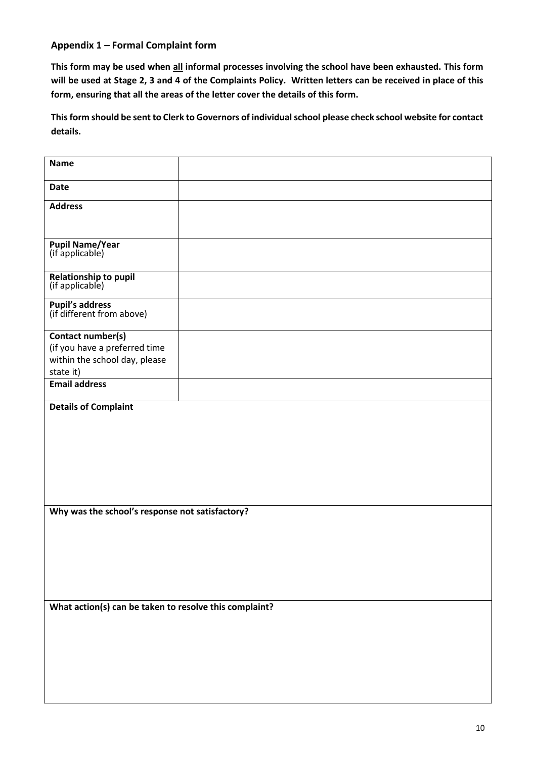# **Appendix 1 – Formal Complaint form**

**This form may be used when all informal processes involving the school have been exhausted. This form will be used at Stage 2, 3 and 4 of the Complaints Policy. Written letters can be received in place of this form, ensuring that all the areas of the letter cover the details of this form.** 

**This form should be sent to Clerk to Governors of individual school please check school website for contact details.**

| <b>Name</b>                                                                                      |  |  |
|--------------------------------------------------------------------------------------------------|--|--|
| <b>Date</b>                                                                                      |  |  |
| <b>Address</b>                                                                                   |  |  |
| <b>Pupil Name/Year</b><br>(if applicable)                                                        |  |  |
| Relationship to pupil<br>(if applicable)                                                         |  |  |
| <b>Pupil's address</b><br>(if different from above)                                              |  |  |
| Contact number(s)<br>(if you have a preferred time<br>within the school day, please<br>state it) |  |  |
| <b>Email address</b>                                                                             |  |  |
| <b>Details of Complaint</b><br>Why was the school's response not satisfactory?                   |  |  |
|                                                                                                  |  |  |
| What action(s) can be taken to resolve this complaint?                                           |  |  |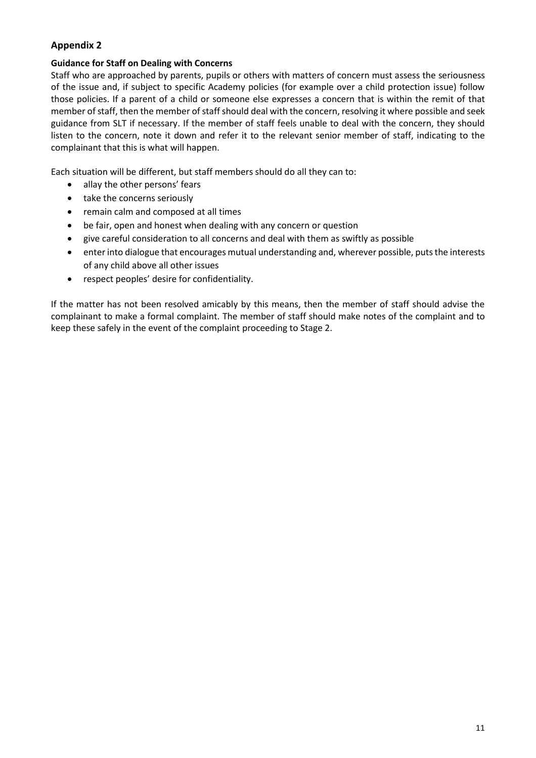# **Appendix 2**

# **Guidance for Staff on Dealing with Concerns**

Staff who are approached by parents, pupils or others with matters of concern must assess the seriousness of the issue and, if subject to specific Academy policies (for example over a child protection issue) follow those policies. If a parent of a child or someone else expresses a concern that is within the remit of that member of staff, then the member of staff should deal with the concern, resolving it where possible and seek guidance from SLT if necessary. If the member of staff feels unable to deal with the concern, they should listen to the concern, note it down and refer it to the relevant senior member of staff, indicating to the complainant that this is what will happen.

Each situation will be different, but staff members should do all they can to:

- allay the other persons' fears
- take the concerns seriously
- remain calm and composed at all times
- be fair, open and honest when dealing with any concern or question
- give careful consideration to all concerns and deal with them as swiftly as possible
- enter into dialogue that encourages mutual understanding and, wherever possible, puts the interests of any child above all other issues
- respect peoples' desire for confidentiality.

If the matter has not been resolved amicably by this means, then the member of staff should advise the complainant to make a formal complaint. The member of staff should make notes of the complaint and to keep these safely in the event of the complaint proceeding to Stage 2.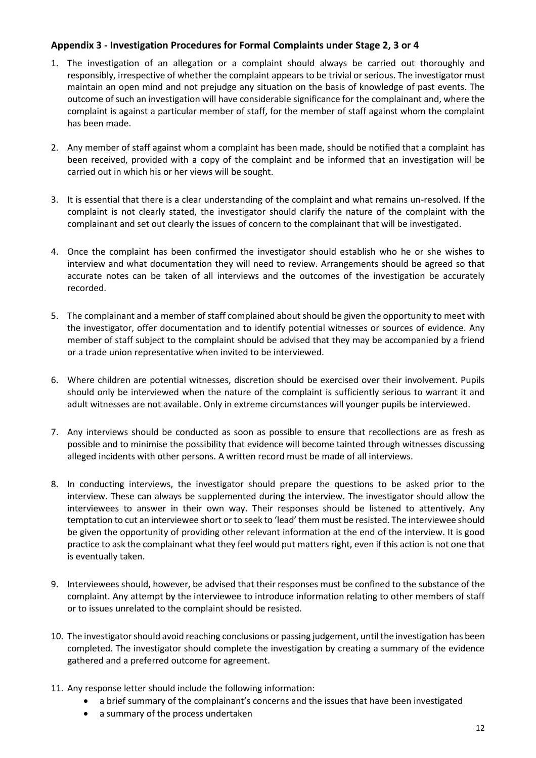# **Appendix 3 - Investigation Procedures for Formal Complaints under Stage 2, 3 or 4**

- 1. The investigation of an allegation or a complaint should always be carried out thoroughly and responsibly, irrespective of whether the complaint appears to be trivial or serious. The investigator must maintain an open mind and not prejudge any situation on the basis of knowledge of past events. The outcome of such an investigation will have considerable significance for the complainant and, where the complaint is against a particular member of staff, for the member of staff against whom the complaint has been made.
- 2. Any member of staff against whom a complaint has been made, should be notified that a complaint has been received, provided with a copy of the complaint and be informed that an investigation will be carried out in which his or her views will be sought.
- 3. It is essential that there is a clear understanding of the complaint and what remains un-resolved. If the complaint is not clearly stated, the investigator should clarify the nature of the complaint with the complainant and set out clearly the issues of concern to the complainant that will be investigated.
- 4. Once the complaint has been confirmed the investigator should establish who he or she wishes to interview and what documentation they will need to review. Arrangements should be agreed so that accurate notes can be taken of all interviews and the outcomes of the investigation be accurately recorded.
- 5. The complainant and a member of staff complained about should be given the opportunity to meet with the investigator, offer documentation and to identify potential witnesses or sources of evidence. Any member of staff subject to the complaint should be advised that they may be accompanied by a friend or a trade union representative when invited to be interviewed.
- 6. Where children are potential witnesses, discretion should be exercised over their involvement. Pupils should only be interviewed when the nature of the complaint is sufficiently serious to warrant it and adult witnesses are not available. Only in extreme circumstances will younger pupils be interviewed.
- 7. Any interviews should be conducted as soon as possible to ensure that recollections are as fresh as possible and to minimise the possibility that evidence will become tainted through witnesses discussing alleged incidents with other persons. A written record must be made of all interviews.
- 8. In conducting interviews, the investigator should prepare the questions to be asked prior to the interview. These can always be supplemented during the interview. The investigator should allow the interviewees to answer in their own way. Their responses should be listened to attentively. Any temptation to cut an interviewee short or to seek to 'lead' them must be resisted. The interviewee should be given the opportunity of providing other relevant information at the end of the interview. It is good practice to ask the complainant what they feel would put matters right, even if this action is not one that is eventually taken.
- 9. Interviewees should, however, be advised that their responses must be confined to the substance of the complaint. Any attempt by the interviewee to introduce information relating to other members of staff or to issues unrelated to the complaint should be resisted.
- 10. The investigator should avoid reaching conclusions or passing judgement, until the investigation has been completed. The investigator should complete the investigation by creating a summary of the evidence gathered and a preferred outcome for agreement.
- 11. Any response letter should include the following information:
	- a brief summary of the complainant's concerns and the issues that have been investigated
	- a summary of the process undertaken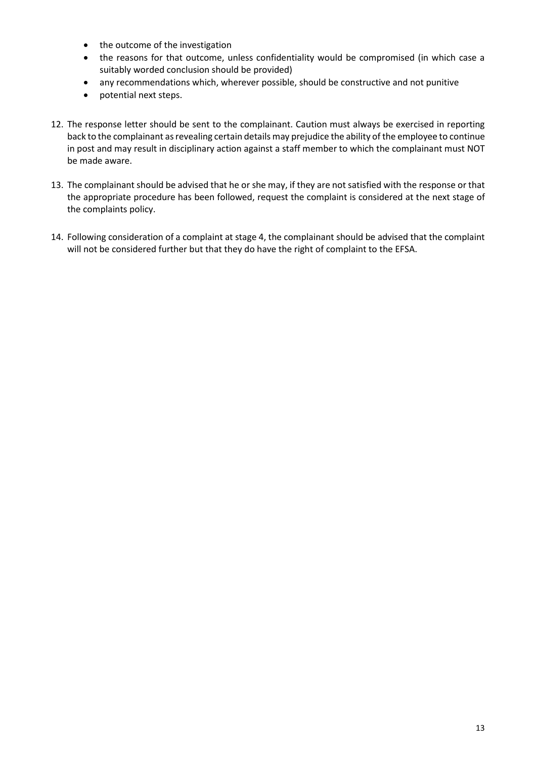- the outcome of the investigation
- the reasons for that outcome, unless confidentiality would be compromised (in which case a suitably worded conclusion should be provided)
- any recommendations which, wherever possible, should be constructive and not punitive
- potential next steps.
- 12. The response letter should be sent to the complainant. Caution must always be exercised in reporting back to the complainant as revealing certain details may prejudice the ability of the employee to continue in post and may result in disciplinary action against a staff member to which the complainant must NOT be made aware.
- 13. The complainant should be advised that he or she may, if they are not satisfied with the response or that the appropriate procedure has been followed, request the complaint is considered at the next stage of the complaints policy.
- 14. Following consideration of a complaint at stage 4, the complainant should be advised that the complaint will not be considered further but that they do have the right of complaint to the EFSA.